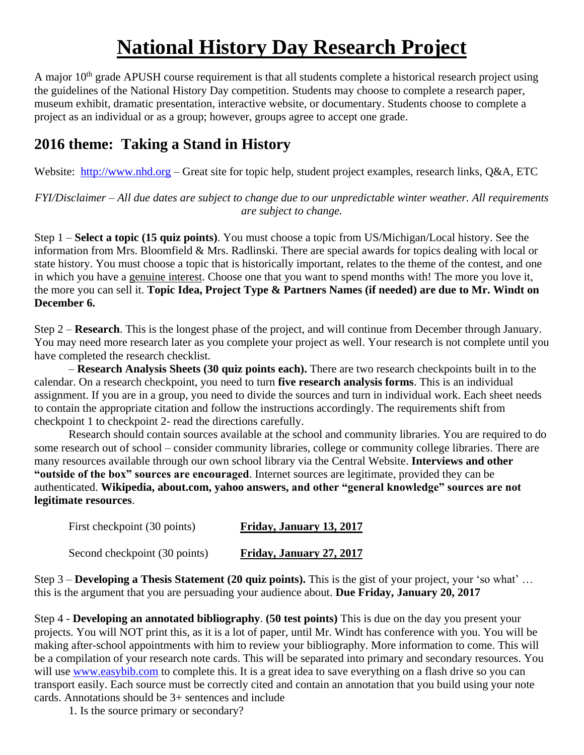## **National History Day Research Project**

A major 10<sup>th</sup> grade APUSH course requirement is that all students complete a historical research project using the guidelines of the National History Day competition. Students may choose to complete a research paper, museum exhibit, dramatic presentation, interactive website, or documentary. Students choose to complete a project as an individual or as a group; however, groups agree to accept one grade.

## **2016 theme: Taking a Stand in History**

Website: [http://www.nhd.org](http://www.nhd.org/) – Great site for topic help, student project examples, research links, Q&A, ETC

*FYI/Disclaimer – All due dates are subject to change due to our unpredictable winter weather. All requirements are subject to change.*

Step 1 – **Select a topic (15 quiz points)**. You must choose a topic from US/Michigan/Local history. See the information from Mrs. Bloomfield & Mrs. Radlinski. There are special awards for topics dealing with local or state history. You must choose a topic that is historically important, relates to the theme of the contest, and one in which you have a genuine interest. Choose one that you want to spend months with! The more you love it, the more you can sell it. **Topic Idea, Project Type & Partners Names (if needed) are due to Mr. Windt on December 6.**

Step 2 – **Research**. This is the longest phase of the project, and will continue from December through January. You may need more research later as you complete your project as well. Your research is not complete until you have completed the research checklist.

– **Research Analysis Sheets (30 quiz points each).** There are two research checkpoints built in to the calendar. On a research checkpoint, you need to turn **five research analysis forms**. This is an individual assignment. If you are in a group, you need to divide the sources and turn in individual work. Each sheet needs to contain the appropriate citation and follow the instructions accordingly. The requirements shift from checkpoint 1 to checkpoint 2- read the directions carefully.

Research should contain sources available at the school and community libraries. You are required to do some research out of school – consider community libraries, college or community college libraries. There are many resources available through our own school library via the Central Website. **Interviews and other "outside of the box" sources are encouraged**. Internet sources are legitimate, provided they can be authenticated. **Wikipedia, about.com, yahoo answers, and other "general knowledge" sources are not legitimate resources**.

| First checkpoint (30 points)  | Friday, January 13, 2017 |
|-------------------------------|--------------------------|
| Second checkpoint (30 points) | Friday, January 27, 2017 |

Step 3 – **Developing a Thesis Statement (20 quiz points).** This is the gist of your project, your 'so what' … this is the argument that you are persuading your audience about. **Due Friday, January 20, 2017**

Step 4 - **Developing an annotated bibliography**. **(50 test points)** This is due on the day you present your projects. You will NOT print this, as it is a lot of paper, until Mr. Windt has conference with you. You will be making after-school appointments with him to review your bibliography. More information to come. This will be a compilation of your research note cards. This will be separated into primary and secondary resources. You will use [www.easybib.com](file://CENTRALSRV1/VOL1/STAFF/WINDTC/Downloads/www.easybib.com) to complete this. It is a great idea to save everything on a flash drive so you can transport easily. Each source must be correctly cited and contain an annotation that you build using your note cards. Annotations should be 3+ sentences and include

1. Is the source primary or secondary?